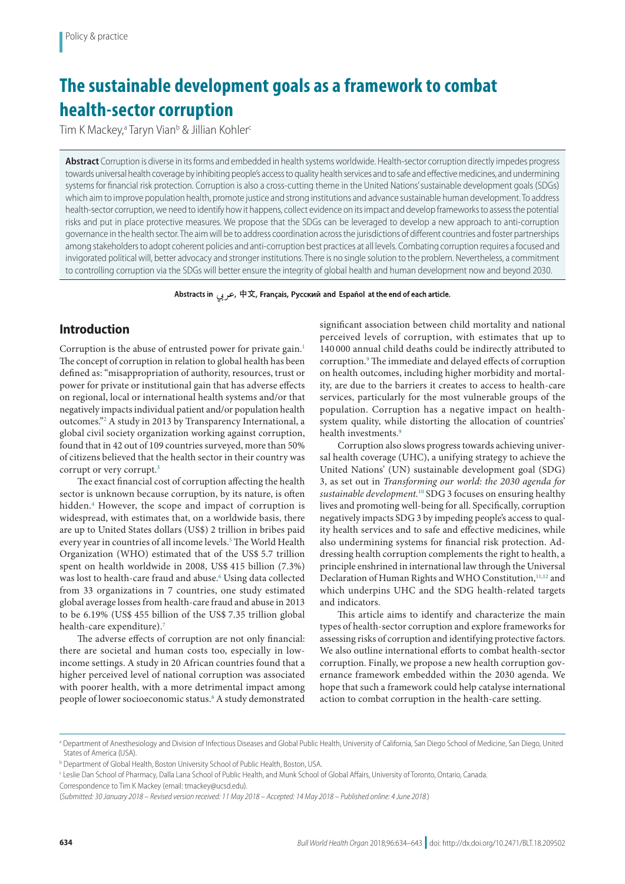# **The sustainable development goals as a framework to combat health-sector corruption**

Tim K Mackey,ª Taryn Vianʰ & Jillian Kohler<sup>c</sup>

**Abstract** Corruption is diverse in its forms and embedded in health systems worldwide. Health-sector corruption directly impedes progress towards universal health coverage by inhibiting people's access to quality health services and to safe and effective medicines, and undermining systems for financial risk protection. Corruption is also a cross-cutting theme in the United Nations' sustainable development goals (SDGs) which aim to improve population health, promote justice and strong institutions and advance sustainable human development. To address health-sector corruption, we need to identify how it happens, collect evidence on its impact and develop frameworks to assess the potential risks and put in place protective measures. We propose that the SDGs can be leveraged to develop a new approach to anti-corruption governance in the health sector. The aim will be to address coordination across the jurisdictions of different countries and foster partnerships among stakeholders to adopt coherent policies and anti-corruption best practices at all levels. Combating corruption requires a focused and invigorated political will, better advocacy and stronger institutions. There is no single solution to the problem. Nevertheless, a commitment to controlling corruption via the SDGs will better ensure the integrity of global health and human development now and beyond 2030.

Abstracts in هربی, 中文, Français, Русский and Español at the end of each article.

### **Introduction**

Corruption is the abuse of entrusted power for private gain.<sup>[1](#page-8-0)</sup> The concept of corruption in relation to global health has been defined as: "misappropriation of authority, resources, trust or power for private or institutional gain that has adverse effects on regional, local or international health systems and/or that negatively impacts individual patient and/or population health outcomes."[2](#page-8-1) A study in 2013 by Transparency International, a global civil society organization working against corruption, found that in 42 out of 109 countries surveyed, more than 50% of citizens believed that the health sector in their country was corrupt or very corrupt.<sup>[3](#page-8-2)</sup>

The exact financial cost of corruption affecting the health sector is unknown because corruption, by its nature, is often hidden[.4](#page-8-3) However, the scope and impact of corruption is widespread, with estimates that, on a worldwide basis, there are up to United States dollars (US\$) 2 trillion in bribes paid every year in countries of all income levels.<sup>5</sup> The World Health Organization (WHO) estimated that of the US\$ 5.7 trillion spent on health worldwide in 2008, US\$ 415 billion (7.3%) was lost to health-care fraud and abuse.<sup>6</sup> Using data collected from 33 organizations in 7 countries, one study estimated global average losses from health-care fraud and abuse in 2013 to be 6.19% (US\$ 455 billion of the US\$ 7.35 trillion global health-care expenditure).[7](#page-8-6)

The adverse effects of corruption are not only financial: there are societal and human costs too, especially in lowincome settings. A study in 20 African countries found that a higher perceived level of national corruption was associated with poorer health, with a more detrimental impact among people of lower socioeconomic status[.8](#page-8-7) A study demonstrated significant association between child mortality and national perceived levels of corruption, with estimates that up to 140 000 annual child deaths could be indirectly attributed to corruption[.9](#page-8-8) The immediate and delayed effects of corruption on health outcomes, including higher morbidity and mortality, are due to the barriers it creates to access to health-care services, particularly for the most vulnerable groups of the population. Corruption has a negative impact on healthsystem quality, while distorting the allocation of countries' health investments.<sup>[9](#page-8-8)</sup>

Corruption also slows progress towards achieving universal health coverage (UHC), a unifying strategy to achieve the United Nations' (UN) sustainable development goal (SDG) 3, as set out in *Transforming our world: the 2030 agenda for sustainable development.*[10](#page-8-9) SDG 3 focuses on ensuring healthy lives and promoting well-being for all. Specifically, corruption negatively impacts SDG 3 by impeding people's access to quality health services and to safe and effective medicines, while also undermining systems for financial risk protection. Addressing health corruption complements the right to health, a principle enshrined in international law through the Universal Declaration of Human Rights and WHO Constitution, 11[,12](#page-8-11) and which underpins UHC and the SDG health-related targets and indicators.

This article aims to identify and characterize the main types of health-sector corruption and explore frameworks for assessing risks of corruption and identifying protective factors. We also outline international efforts to combat health-sector corruption. Finally, we propose a new health corruption governance framework embedded within the 2030 agenda. We hope that such a framework could help catalyse international action to combat corruption in the health-care setting.

Correspondence to Tim K Mackey (email: tmackey@ucsd.edu).

a Department of Anesthesiology and Division of Infectious Diseases and Global Public Health, University of California, San Diego School of Medicine, San Diego, United States of America (USA).

**b** Department of Global Health, Boston University School of Public Health, Boston, USA.

c Leslie Dan School of Pharmacy, Dalla Lana School of Public Health, and Munk School of Global Affairs, University of Toronto, Ontario, Canada.

<sup>(</sup>*Submitted: 30 January 2018 – Revised version received: 11 May 2018 – Accepted: 14 May 2018 – Published online: 4 June 2018* )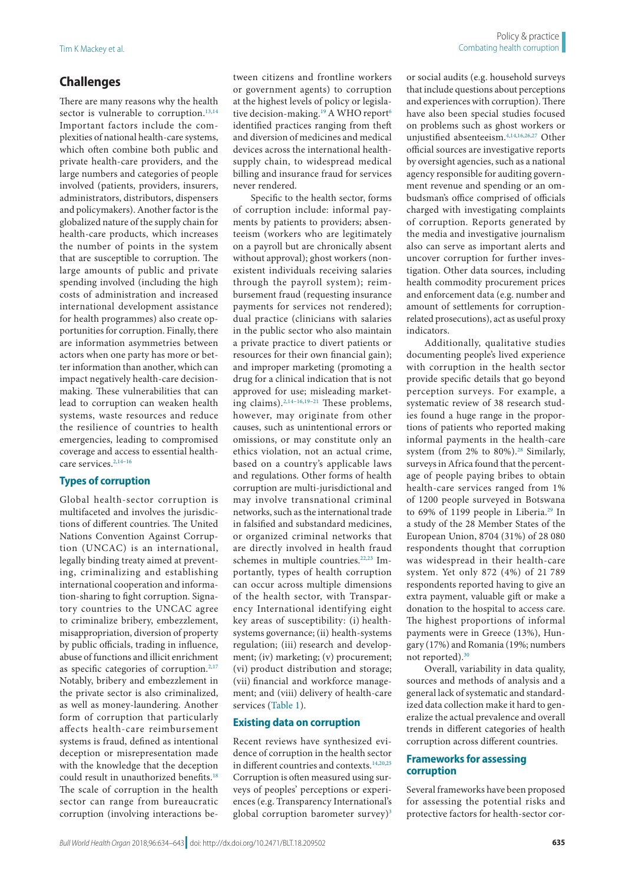### **Challenges**

There are many reasons why the health sector is vulnerable to corruption.<sup>[13](#page-8-12)[,14](#page-8-13)</sup> Important factors include the complexities of national health-care systems, which often combine both public and private health-care providers, and the large numbers and categories of people involved (patients, providers, insurers, administrators, distributors, dispensers and policymakers). Another factor is the globalized nature of the supply chain for health-care products, which increases the number of points in the system that are susceptible to corruption. The large amounts of public and private spending involved (including the high costs of administration and increased international development assistance for health programmes) also create opportunities for corruption. Finally, there are information asymmetries between actors when one party has more or better information than another, which can impact negatively health-care decisionmaking. These vulnerabilities that can lead to corruption can weaken health systems, waste resources and reduce the resilience of countries to health emergencies, leading to compromised coverage and access to essential health-care services.<sup>[2,](#page-8-1)[14](#page-8-13)-16</sup>

### **Types of corruption**

Global health-sector corruption is multifaceted and involves the jurisdictions of different countries. The United Nations Convention Against Corruption (UNCAC) is an international, legally binding treaty aimed at preventing, criminalizing and establishing international cooperation and information-sharing to fight corruption. Signatory countries to the UNCAC agree to criminalize bribery, embezzlement, misappropriation, diversion of property by public officials, trading in influence, abuse of functions and illicit enrichment as specific categories of corruption.<sup>2[,17](#page-8-15)</sup> Notably, bribery and embezzlement in the private sector is also criminalized, as well as money-laundering. Another form of corruption that particularly affects health-care reimbursement systems is fraud, defined as intentional deception or misrepresentation made with the knowledge that the deception could result in unauthorized benefits.<sup>[18](#page-8-16)</sup> The scale of corruption in the health sector can range from bureaucratic corruption (involving interactions between citizens and frontline workers or government agents) to corruption at the highest levels of policy or legisla-tive decision-making.<sup>19</sup> A WHO report<sup>[6](#page-8-5)</sup> identified practices ranging from theft and diversion of medicines and medical devices across the international healthsupply chain, to widespread medical billing and insurance fraud for services never rendered.

Specific to the health sector, forms of corruption include: informal payments by patients to providers; absenteeism (workers who are legitimately on a payroll but are chronically absent without approval); ghost workers (nonexistent individuals receiving salaries through the payroll system); reimbursement fraud (requesting insurance payments for services not rendered); dual practice (clinicians with salaries in the public sector who also maintain a private practice to divert patients or resources for their own financial gain); and improper marketing (promoting a drug for a clinical indication that is not approved for use; misleading market-ing claims).<sup>[2,](#page-8-1)[14–](#page-8-13)[16](#page-8-14),[19](#page-8-17)[–21](#page-8-18)</sup> These problems, however, may originate from other causes, such as unintentional errors or omissions, or may constitute only an ethics violation, not an actual crime, based on a country's applicable laws and regulations. Other forms of health corruption are multi-jurisdictional and may involve transnational criminal networks, such as the international trade in falsified and substandard medicines, or organized criminal networks that are directly involved in health fraud schemes in multiple countries.<sup>22,[23](#page-8-20)</sup> Importantly, types of health corruption can occur across multiple dimensions of the health sector, with Transparency International identifying eight key areas of susceptibility: (i) healthsystems governance; (ii) health-systems regulation; (iii) research and development; (iv) marketing; (v) procurement; (vi) product distribution and storage; (vii) financial and workforce management; and (viii) delivery of health-care services [\(Table](#page-2-0) 1).

#### **Existing data on corruption**

Recent reviews have synthesized evidence of corruption in the health sector in different countries and contexts[.14,](#page-8-13)[20,](#page-8-21)[25](#page-8-22) Corruption is often measured using surveys of peoples' perceptions or experiences (e.g. Transparency International's global corruption barometer survey)<sup>[3](#page-8-2)</sup>

or social audits (e.g. household surveys that include questions about perceptions and experiences with corruption). There have also been special studies focused on problems such as ghost workers or unjustified absenteeism[.4](#page-8-3)[,14,](#page-8-13)[16,](#page-8-14)[26](#page-8-23),[27](#page-8-24) Other official sources are investigative reports by oversight agencies, such as a national agency responsible for auditing government revenue and spending or an ombudsman's office comprised of officials charged with investigating complaints of corruption. Reports generated by the media and investigative journalism also can serve as important alerts and uncover corruption for further investigation. Other data sources, including health commodity procurement prices and enforcement data (e.g. number and amount of settlements for corruptionrelated prosecutions), act as useful proxy indicators.

Additionally, qualitative studies documenting people's lived experience with corruption in the health sector provide specific details that go beyond perception surveys. For example, a systematic review of 38 research studies found a huge range in the proportions of patients who reported making informal payments in the health-care system (from 2% to 80%).<sup>[28](#page-8-25)</sup> Similarly, surveys in Africa found that the percentage of people paying bribes to obtain health-care services ranged from 1% of 1200 people surveyed in Botswana to 69% of 1199 people in Liberia.<sup>29</sup> In a study of the 28 Member States of the European Union, 8704 (31%) of 28 080 respondents thought that corruption was widespread in their health-care system. Yet only 872 (4%) of 21 789 respondents reported having to give an extra payment, valuable gift or make a donation to the hospital to access care. The highest proportions of informal payments were in Greece (13%), Hungary (17%) and Romania (19%; numbers not reported).[30](#page-8-27)

Overall, variability in data quality, sources and methods of analysis and a general lack of systematic and standardized data collection make it hard to generalize the actual prevalence and overall trends in different categories of health corruption across different countries.

#### **Frameworks for assessing corruption**

Several frameworks have been proposed for assessing the potential risks and protective factors for health-sector cor-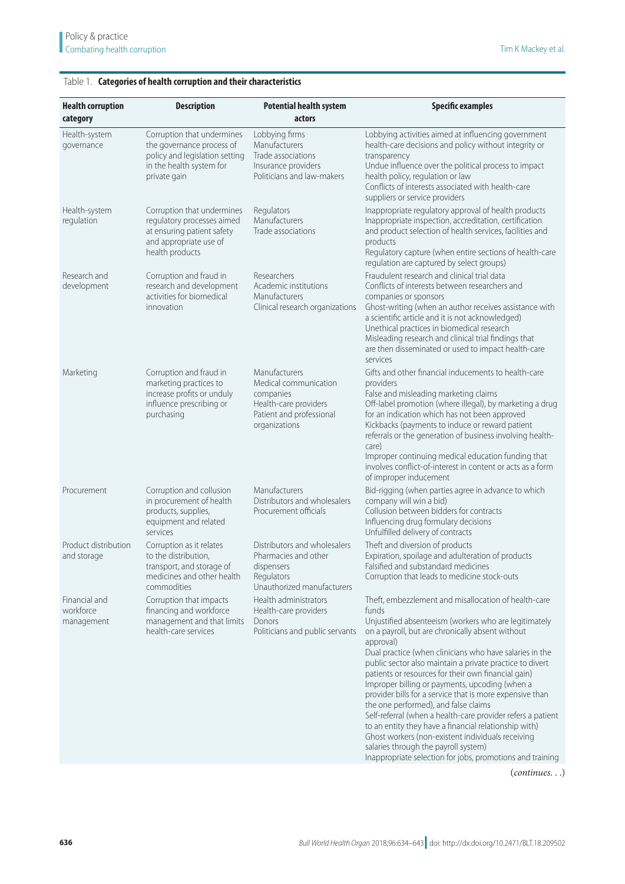### <span id="page-2-0"></span>Table 1. **Categories of health corruption and their characteristics**

| <b>Health corruption</b>                 | <b>Description</b>                                                                                                                    | <b>Potential health system</b>                                                                                            | <b>Specific examples</b>                                                                                                                                                                                                                                                                                                                                                                                                                                                                                                                                                                                                                                                                                                                                                                                      |
|------------------------------------------|---------------------------------------------------------------------------------------------------------------------------------------|---------------------------------------------------------------------------------------------------------------------------|---------------------------------------------------------------------------------------------------------------------------------------------------------------------------------------------------------------------------------------------------------------------------------------------------------------------------------------------------------------------------------------------------------------------------------------------------------------------------------------------------------------------------------------------------------------------------------------------------------------------------------------------------------------------------------------------------------------------------------------------------------------------------------------------------------------|
| category                                 |                                                                                                                                       | actors                                                                                                                    |                                                                                                                                                                                                                                                                                                                                                                                                                                                                                                                                                                                                                                                                                                                                                                                                               |
| Health-system<br>governance              | Corruption that undermines<br>the governance process of<br>policy and legislation setting<br>in the health system for<br>private gain | Lobbying firms<br>Manufacturers<br>Trade associations<br>Insurance providers<br>Politicians and law-makers                | Lobbying activities aimed at influencing government<br>health-care decisions and policy without integrity or<br>transparency<br>Undue influence over the political process to impact<br>health policy, regulation or law<br>Conflicts of interests associated with health-care<br>suppliers or service providers                                                                                                                                                                                                                                                                                                                                                                                                                                                                                              |
| Health-system<br>regulation              | Corruption that undermines<br>regulatory processes aimed<br>at ensuring patient safety<br>and appropriate use of<br>health products   | Regulators<br>Manufacturers<br>Trade associations                                                                         | Inappropriate regulatory approval of health products<br>Inappropriate inspection, accreditation, certification<br>and product selection of health services, facilities and<br>products<br>Regulatory capture (when entire sections of health-care<br>regulation are captured by select groups)                                                                                                                                                                                                                                                                                                                                                                                                                                                                                                                |
| Research and<br>development              | Corruption and fraud in<br>research and development<br>activities for biomedical<br>innovation                                        | Researchers<br>Academic institutions<br>Manufacturers<br>Clinical research organizations                                  | Fraudulent research and clinical trial data<br>Conflicts of interests between researchers and<br>companies or sponsors<br>Ghost-writing (when an author receives assistance with<br>a scientific article and it is not acknowledged)<br>Unethical practices in biomedical research<br>Misleading research and clinical trial findings that<br>are then disseminated or used to impact health-care<br>services                                                                                                                                                                                                                                                                                                                                                                                                 |
| Marketing                                | Corruption and fraud in<br>marketing practices to<br>increase profits or unduly<br>influence prescribing or<br>purchasing             | Manufacturers<br>Medical communication<br>companies<br>Health-care providers<br>Patient and professional<br>organizations | Gifts and other financial inducements to health-care<br>providers<br>False and misleading marketing claims<br>Off-label promotion (where illegal), by marketing a drug<br>for an indication which has not been approved<br>Kickbacks (payments to induce or reward patient<br>referrals or the generation of business involving health-<br>care)<br>Improper continuing medical education funding that<br>involves conflict-of-interest in content or acts as a form<br>of improper inducement                                                                                                                                                                                                                                                                                                                |
| Procurement                              | Corruption and collusion<br>in procurement of health<br>products, supplies,<br>equipment and related<br>services                      | Manufacturers<br>Distributors and wholesalers<br>Procurement officials                                                    | Bid-rigging (when parties agree in advance to which<br>company will win a bid)<br>Collusion between bidders for contracts<br>Influencing drug formulary decisions<br>Unfulfilled delivery of contracts                                                                                                                                                                                                                                                                                                                                                                                                                                                                                                                                                                                                        |
| Product distribution<br>and storage      | Corruption as it relates<br>to the distribution,<br>transport, and storage of<br>medicines and other health<br>commodities            | Distributors and wholesalers<br>Pharmacies and other<br>dispensers<br>Regulators<br>Unauthorized manufacturers            | Theft and diversion of products<br>Expiration, spoilage and adulteration of products<br>Falsified and substandard medicines<br>Corruption that leads to medicine stock-outs                                                                                                                                                                                                                                                                                                                                                                                                                                                                                                                                                                                                                                   |
| Financial and<br>workforce<br>management | Corruption that impacts<br>financing and workforce<br>management and that limits<br>health-care services                              | Health administrators<br>Health-care providers<br>Donors<br>Politicians and public servants                               | Theft, embezzlement and misallocation of health-care<br>funds<br>Unjustified absenteeism (workers who are legitimately<br>on a payroll, but are chronically absent without<br>approval)<br>Dual practice (when clinicians who have salaries in the<br>public sector also maintain a private practice to divert<br>patients or resources for their own financial gain)<br>Improper billing or payments, upcoding (when a<br>provider bills for a service that is more expensive than<br>the one performed), and false claims<br>Self-referral (when a health-care provider refers a patient<br>to an entity they have a financial relationship with)<br>Ghost workers (non-existent individuals receiving<br>salaries through the payroll system)<br>Inappropriate selection for jobs, promotions and training |

(*continues*. . .)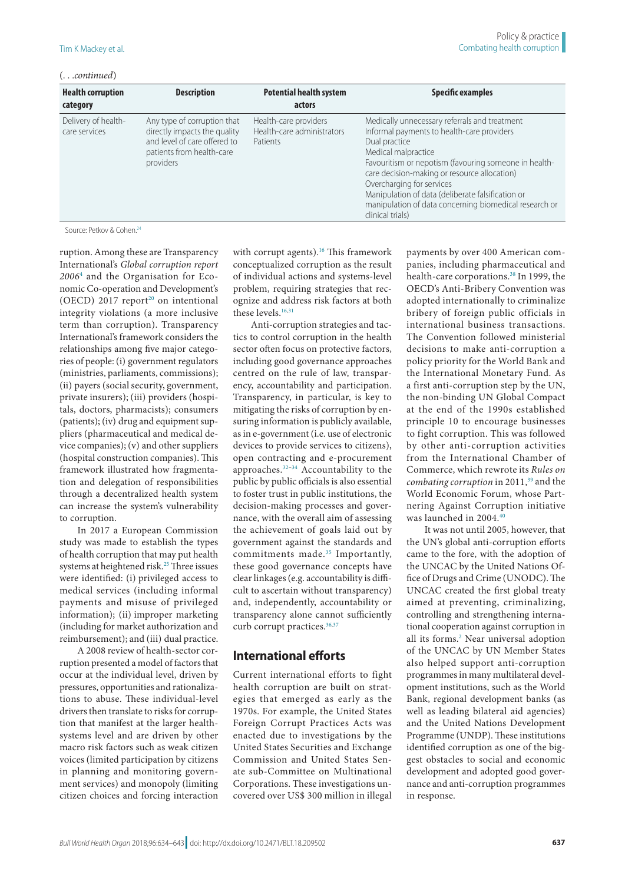(. . .*continued*)

| <b>Health corruption</b><br>category | <b>Description</b>                                                                                                                    | <b>Potential health system</b><br>actors                        | <b>Specific examples</b>                                                                                                                                                                                                                                                                                                                                                                                     |
|--------------------------------------|---------------------------------------------------------------------------------------------------------------------------------------|-----------------------------------------------------------------|--------------------------------------------------------------------------------------------------------------------------------------------------------------------------------------------------------------------------------------------------------------------------------------------------------------------------------------------------------------------------------------------------------------|
| Delivery of health-<br>care services | Any type of corruption that<br>directly impacts the quality<br>and level of care offered to<br>patients from health-care<br>providers | Health-care providers<br>Health-care administrators<br>Patients | Medically unnecessary referrals and treatment<br>Informal payments to health-care providers<br>Dual practice<br>Medical malpractice<br>Favouritism or nepotism (favouring someone in health-<br>care decision-making or resource allocation)<br>Overcharging for services<br>Manipulation of data (deliberate falsification or<br>manipulation of data concerning biomedical research or<br>clinical trials) |

Source: Petkov & Cohen.<sup>24</sup>

ruption. Among these are Transparency International's *Global corruption report 2006*[4](#page-8-3) and the Organisation for Economic Co-operation and Development's (OECD) 2017 report $20$  on intentional integrity violations (a more inclusive term than corruption). Transparency International's framework considers the relationships among five major categories of people: (i) government regulators (ministries, parliaments, commissions); (ii) payers (social security, government, private insurers); (iii) providers (hospitals, doctors, pharmacists); consumers (patients); (iv) drug and equipment suppliers (pharmaceutical and medical device companies); (v) and other suppliers (hospital construction companies). This framework illustrated how fragmentation and delegation of responsibilities through a decentralized health system can increase the system's vulnerability to corruption.

In 2017 a European Commission study was made to establish the types of health corruption that may put health systems at heightened risk.<sup>[25](#page-8-22)</sup> Three issues were identified: (i) privileged access to medical services (including informal payments and misuse of privileged information); (ii) improper marketing (including for market authorization and reimbursement); and (iii) dual practice.

A 2008 review of health-sector corruption presented a model of factors that occur at the individual level, driven by pressures, opportunities and rationalizations to abuse. These individual-level drivers then translate to risks for corruption that manifest at the larger healthsystems level and are driven by other macro risk factors such as weak citizen voices (limited participation by citizens in planning and monitoring government services) and monopoly (limiting citizen choices and forcing interaction

with corrupt agents).<sup>[16](#page-8-14)</sup> This framework conceptualized corruption as the result of individual actions and systems-level problem, requiring strategies that recognize and address risk factors at both these levels.<sup>[16](#page-8-14),[31](#page-8-28)</sup>

Anti-corruption strategies and tactics to control corruption in the health sector often focus on protective factors, including good governance approaches centred on the rule of law, transparency, accountability and participation. Transparency, in particular, is key to mitigating the risks of corruption by ensuring information is publicly available, as in e-government (i.e. use of electronic devices to provide services to citizens), open contracting and e-procurement approaches[.32–](#page-8-29)[34](#page-9-0) Accountability to the public by public officials is also essential to foster trust in public institutions, the decision-making processes and governance, with the overall aim of assessing the achievement of goals laid out by government against the standards and commitments made.<sup>[35](#page-9-1)</sup> Importantly, these good governance concepts have clear linkages (e.g. accountability is difficult to ascertain without transparency) and, independently, accountability or transparency alone cannot sufficiently curb corrupt practices.<sup>36[,37](#page-9-3)</sup>

### **International efforts**

Current international efforts to fight health corruption are built on strategies that emerged as early as the 1970s. For example, the United States Foreign Corrupt Practices Acts was enacted due to investigations by the United States Securities and Exchange Commission and United States Senate sub-Committee on Multinational Corporations. These investigations uncovered over US\$ 300 million in illegal payments by over 400 American companies, including pharmaceutical and health-care corporations.<sup>[38](#page-9-4)</sup> In 1999, the OECD's Anti-Bribery Convention was adopted internationally to criminalize bribery of foreign public officials in international business transactions. The Convention followed ministerial decisions to make anti-corruption a policy priority for the World Bank and the International Monetary Fund. As a first anti-corruption step by the UN, the non-binding UN Global Compact at the end of the 1990s established principle 10 to encourage businesses to fight corruption. This was followed by other anti-corruption activities from the International Chamber of Commerce, which rewrote its *Rules on combating corruption* in 2011,<sup>[39](#page-9-5)</sup> and the World Economic Forum, whose Partnering Against Corruption initiative was launched in 2004.4

It was not until 2005, however, that the UN's global anti-corruption efforts came to the fore, with the adoption of the UNCAC by the United Nations Office of Drugs and Crime (UNODC). The UNCAC created the first global treaty aimed at preventing, criminalizing, controlling and strengthening international cooperation against corruption in all its forms.<sup>2</sup> Near universal adoption of the UNCAC by UN Member States also helped support anti-corruption programmes in many multilateral development institutions, such as the World Bank, regional development banks (as well as leading bilateral aid agencies) and the United Nations Development Programme (UNDP). These institutions identified corruption as one of the biggest obstacles to social and economic development and adopted good governance and anti-corruption programmes in response.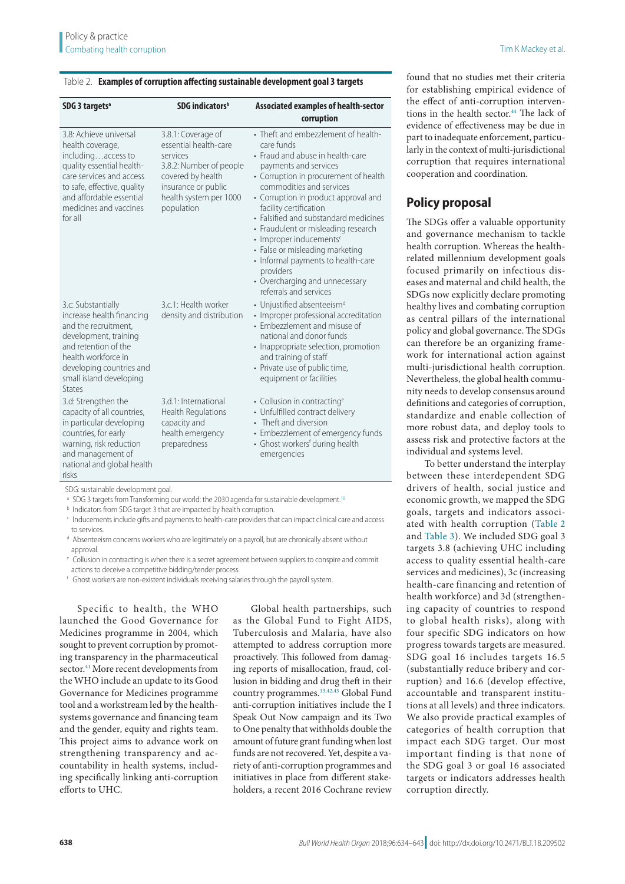#### <span id="page-4-0"></span>Table 2. **Examples of corruption affecting sustainable development goal 3 targets**

| SDG 3 targets <sup>a</sup>                                                                                                                                                                                                | SDG indicators <sup>b</sup>                                                                                                                                            | Associated examples of health-sector<br>corruption                                                                                                                                                                                                                                                                                                                                                                                                                                                                             |
|---------------------------------------------------------------------------------------------------------------------------------------------------------------------------------------------------------------------------|------------------------------------------------------------------------------------------------------------------------------------------------------------------------|--------------------------------------------------------------------------------------------------------------------------------------------------------------------------------------------------------------------------------------------------------------------------------------------------------------------------------------------------------------------------------------------------------------------------------------------------------------------------------------------------------------------------------|
| 3.8: Achieve universal<br>health coverage,<br>includingaccess to<br>quality essential health-<br>care services and access<br>to safe, effective, quality<br>and affordable essential<br>medicines and vaccines<br>for all | 3.8.1: Coverage of<br>essential health-care<br>services<br>3.8.2: Number of people<br>covered by health<br>insurance or public<br>health system per 1000<br>population | • Theft and embezzlement of health-<br>care funds<br>• Fraud and abuse in health-care<br>payments and services<br>• Corruption in procurement of health<br>commodities and services<br>• Corruption in product approval and<br>facility certification<br>• Falsified and substandard medicines<br>• Fraudulent or misleading research<br>• Improper inducements <sup>c</sup><br>• False or misleading marketing<br>• Informal payments to health-care<br>providers<br>• Overcharging and unnecessary<br>referrals and services |
| 3.c: Substantially<br>increase health financing<br>and the recruitment,<br>development, training<br>and retention of the<br>health workforce in<br>developing countries and<br>small island developing<br>States          | 3.c.1: Health worker<br>density and distribution                                                                                                                       | • Unjustified absenteeism <sup>d</sup><br>• Improper professional accreditation<br>• Embezzlement and misuse of<br>national and donor funds<br>• Inappropriate selection, promotion<br>and training of staff<br>• Private use of public time,<br>equipment or facilities                                                                                                                                                                                                                                                       |
| 3.d: Strengthen the<br>capacity of all countries,<br>in particular developing<br>countries, for early<br>warning, risk reduction<br>and management of<br>national and global health<br>risks                              | 3.d.1: International<br><b>Health Regulations</b><br>capacity and<br>health emergency<br>preparedness                                                                  | • Collusion in contracting <sup>e</sup><br>· Unfulfilled contract delivery<br>• Theft and diversion<br>• Embezzlement of emergency funds<br>• Ghost workersf during health<br>emergencies                                                                                                                                                                                                                                                                                                                                      |

SDG: sustainable development goal.

a SDG 3 targets from Transforming our world: the 2030 agenda for sustainable development.<sup>[10](#page-8-9)</sup>

**b** Indicators from SDG target 3 that are impacted by health corruption.

- c Inducements include gifts and payments to health-care providers that can impact clinical care and access to services.
- d Absenteeism concerns workers who are legitimately on a payroll, but are chronically absent without approval.
- e Collusion in contracting is when there is a secret agreement between suppliers to conspire and commit actions to deceive a competitive bidding/tender process.

f Ghost workers are non-existent individuals receiving salaries through the payroll system.

Specific to health, the WHO launched the Good Governance for Medicines programme in 2004, which sought to prevent corruption by promoting transparency in the pharmaceutical sector.<sup>41</sup> More recent developments from the WHO include an update to its Good Governance for Medicines programme tool and a workstream led by the healthsystems governance and financing team and the gender, equity and rights team. This project aims to advance work on strengthening transparency and accountability in health systems, including specifically linking anti-corruption efforts to UHC.

Global health partnerships, such as the Global Fund to Fight AIDS, Tuberculosis and Malaria, have also attempted to address corruption more proactively. This followed from damaging reports of misallocation, fraud, collusion in bidding and drug theft in their country programmes.[13](#page-8-12)[,42,](#page-9-8)[43](#page-9-9) Global Fund anti-corruption initiatives include the I Speak Out Now campaign and its Two to One penalty that withholds double the amount of future grant funding when lost funds are not recovered. Yet, despite a variety of anti-corruption programmes and initiatives in place from different stakeholders, a recent 2016 Cochrane review

found that no studies met their criteria for establishing empirical evidence of the effect of anti-corruption interven-tions in the health sector.<sup>[44](#page-9-10)</sup> The lack of evidence of effectiveness may be due in part to inadequate enforcement, particularly in the context of multi-jurisdictional corruption that requires international cooperation and coordination.

## **Policy proposal**

The SDGs offer a valuable opportunity and governance mechanism to tackle health corruption. Whereas the healthrelated millennium development goals focused primarily on infectious diseases and maternal and child health, the SDGs now explicitly declare promoting healthy lives and combating corruption as central pillars of the international policy and global governance. The SDGs can therefore be an organizing framework for international action against multi-jurisdictional health corruption. Nevertheless, the global health community needs to develop consensus around definitions and categories of corruption, standardize and enable collection of more robust data, and deploy tools to assess risk and protective factors at the individual and systems level.

To better understand the interplay between these interdependent SDG drivers of health, social justice and economic growth, we mapped the SDG goals, targets and indicators associated with health corruption ([Table](#page-4-0) 2 and [Table](#page-5-0) 3). We included SDG goal 3 targets 3.8 (achieving UHC including access to quality essential health-care services and medicines), 3c (increasing health-care financing and retention of health workforce) and 3d (strengthening capacity of countries to respond to global health risks), along with four specific SDG indicators on how progress towards targets are measured. SDG goal 16 includes targets 16.5 (substantially reduce bribery and corruption) and 16.6 (develop effective, accountable and transparent institutions at all levels) and three indicators. We also provide practical examples of categories of health corruption that impact each SDG target. Our most important finding is that none of the SDG goal 3 or goal 16 associated targets or indicators addresses health corruption directly.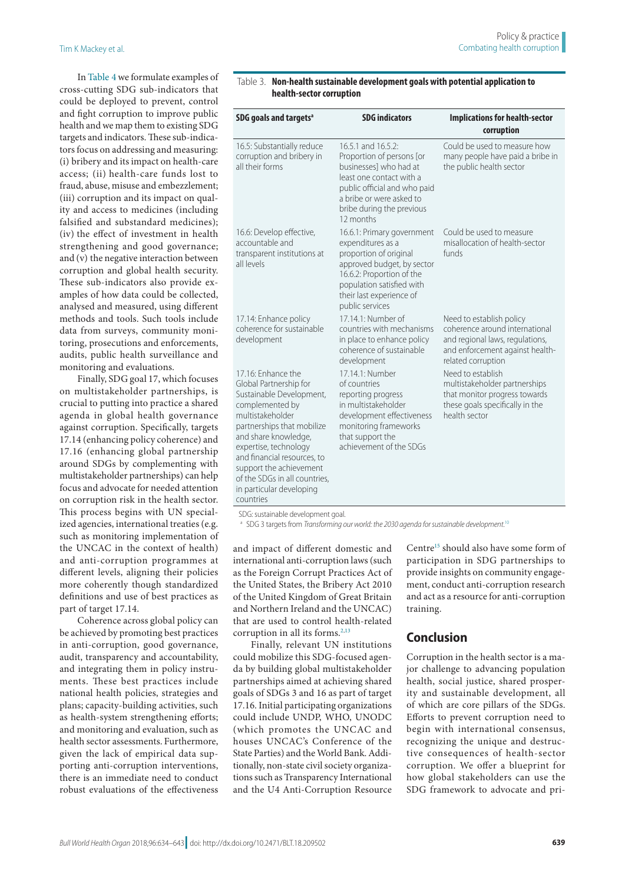In [Table](#page-6-0) 4 we formulate examples of cross-cutting SDG sub-indicators that could be deployed to prevent, control and fight corruption to improve public health and we map them to existing SDG targets and indicators. These sub-indicators focus on addressing and measuring: (i) bribery and its impact on health-care access; (ii) health-care funds lost to fraud, abuse, misuse and embezzlement; (iii) corruption and its impact on quality and access to medicines (including falsified and substandard medicines); (iv) the effect of investment in health strengthening and good governance; and (v) the negative interaction between corruption and global health security. These sub-indicators also provide examples of how data could be collected, analysed and measured, using different methods and tools. Such tools include data from surveys, community monitoring, prosecutions and enforcements, audits, public health surveillance and monitoring and evaluations.

Finally, SDG goal 17, which focuses on multistakeholder partnerships, is crucial to putting into practice a shared agenda in global health governance against corruption. Specifically, targets 17.14 (enhancing policy coherence) and 17.16 (enhancing global partnership around SDGs by complementing with multistakeholder partnerships) can help focus and advocate for needed attention on corruption risk in the health sector. This process begins with UN specialized agencies, international treaties (e.g. such as monitoring implementation of the UNCAC in the context of health) and anti-corruption programmes at different levels, aligning their policies more coherently though standardized definitions and use of best practices as part of target 17.14.

Coherence across global policy can be achieved by promoting best practices in anti-corruption, good governance, audit, transparency and accountability, and integrating them in policy instruments. These best practices include national health policies, strategies and plans; capacity-building activities, such as health-system strengthening efforts; and monitoring and evaluation, such as health sector assessments. Furthermore, given the lack of empirical data supporting anti-corruption interventions, there is an immediate need to conduct robust evaluations of the effectiveness

| SDG goals and targets <sup>a</sup>                                                                                                                                                                                                                                                                                                 | <b>SDG indicators</b>                                                                                                                                                                                            | <b>Implications for health-sector</b><br>corruption                                                                                                    |
|------------------------------------------------------------------------------------------------------------------------------------------------------------------------------------------------------------------------------------------------------------------------------------------------------------------------------------|------------------------------------------------------------------------------------------------------------------------------------------------------------------------------------------------------------------|--------------------------------------------------------------------------------------------------------------------------------------------------------|
| 16.5: Substantially reduce<br>corruption and bribery in<br>all their forms                                                                                                                                                                                                                                                         | $1651$ and $1652$<br>Proportion of persons [or<br>businesses] who had at<br>least one contact with a<br>public official and who paid<br>a bribe or were asked to<br>bribe during the previous<br>12 months       | Could be used to measure how<br>many people have paid a bribe in<br>the public health sector                                                           |
| 16.6: Develop effective,<br>accountable and<br>transparent institutions at<br>all levels                                                                                                                                                                                                                                           | 16.6.1: Primary government<br>expenditures as a<br>proportion of original<br>approved budget, by sector<br>16.6.2: Proportion of the<br>population satisfied with<br>their last experience of<br>public services | Could be used to measure<br>misallocation of health-sector<br>funds                                                                                    |
| 17.14: Enhance policy<br>coherence for sustainable<br>development                                                                                                                                                                                                                                                                  | 17.14.1: Number of<br>countries with mechanisms<br>in place to enhance policy<br>coherence of sustainable<br>development                                                                                         | Need to establish policy<br>coherence around international<br>and regional laws, regulations,<br>and enforcement against health-<br>related corruption |
| 17.16: Enhance the<br>Global Partnership for<br>Sustainable Development,<br>complemented by<br>multistakeholder<br>partnerships that mobilize<br>and share knowledge,<br>expertise, technology<br>and financial resources, to<br>support the achievement<br>of the SDGs in all countries,<br>in particular developing<br>countries | 17.14.1: Number<br>of countries<br>reporting progress<br>in multistakeholder<br>development effectiveness<br>monitoring frameworks<br>that support the<br>achievement of the SDGs                                | Need to establish<br>multistakeholder partnerships<br>that monitor progress towards<br>these goals specifically in the<br>health sector                |

#### <span id="page-5-0"></span>Table 3. **Non-health sustainable development goals with potential application to health-sector corruption**

SDG: sustainable development goal.

<sup>a</sup> SDG 3 targets from *Transforming our world: the 2030 agenda for sustainable development.<sup>[10](#page-8-9)</sup>* 

and impact of different domestic and international anti-corruption laws (such as the Foreign Corrupt Practices Act of the United States, the Bribery Act 2010 of the United Kingdom of Great Britain and Northern Ireland and the UNCAC) that are used to control health-related corruption in all its forms.<sup>[2](#page-8-1),[13](#page-8-12)</sup>

Finally, relevant UN institutions could mobilize this SDG-focused agenda by building global multistakeholder partnerships aimed at achieving shared goals of SDGs 3 and 16 as part of target 17.16. Initial participating organizations could include UNDP, WHO, UNODC (which promotes the UNCAC and houses UNCAC's Conference of the State Parties) and the World Bank. Additionally, non-state civil society organizations such as Transparency International and the U4 Anti-Corruption Resource

Centre<sup>[15](#page-8-31)</sup> should also have some form of participation in SDG partnerships to provide insights on community engagement, conduct anti-corruption research and act as a resource for anti-corruption training.

### **Conclusion**

Corruption in the health sector is a major challenge to advancing population health, social justice, shared prosperity and sustainable development, all of which are core pillars of the SDGs. Efforts to prevent corruption need to begin with international consensus, recognizing the unique and destructive consequences of health-sector corruption. We offer a blueprint for how global stakeholders can use the SDG framework to advocate and pri-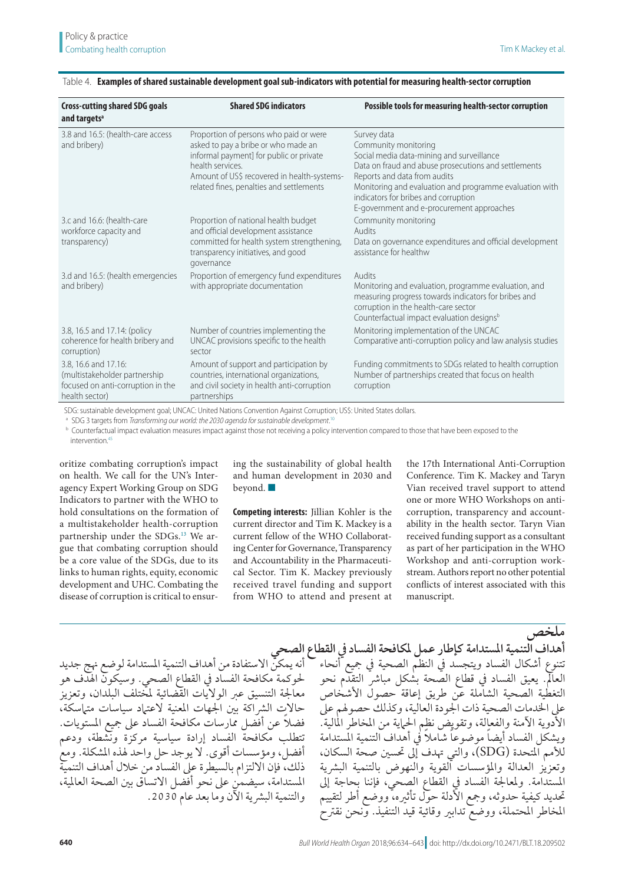| <b>Cross-cutting shared SDG goals</b><br>and targets <sup>a</sup>                                             | <b>Shared SDG indicators</b>                                                                                                                                                                                                            | Possible tools for measuring health-sector corruption                                                                                                                                                                                                                                                                    |
|---------------------------------------------------------------------------------------------------------------|-----------------------------------------------------------------------------------------------------------------------------------------------------------------------------------------------------------------------------------------|--------------------------------------------------------------------------------------------------------------------------------------------------------------------------------------------------------------------------------------------------------------------------------------------------------------------------|
| 3.8 and 16.5: (health-care access<br>and bribery)                                                             | Proportion of persons who paid or were<br>asked to pay a bribe or who made an<br>informal payment] for public or private<br>health services.<br>Amount of US\$ recovered in health-systems-<br>related fines, penalties and settlements | Survey data<br>Community monitoring<br>Social media data-mining and surveillance<br>Data on fraud and abuse prosecutions and settlements<br>Reports and data from audits<br>Monitoring and evaluation and programme evaluation with<br>indicators for bribes and corruption<br>E-government and e-procurement approaches |
| 3.c and 16.6: (health-care<br>workforce capacity and<br>transparency)                                         | Proportion of national health budget<br>and official development assistance<br>committed for health system strengthening,<br>transparency initiatives, and good<br>governance                                                           | Community monitoring<br>Audits<br>Data on governance expenditures and official development<br>assistance for healthw                                                                                                                                                                                                     |
| 3.d and 16.5: (health emergencies<br>and bribery)                                                             | Proportion of emergency fund expenditures<br>with appropriate documentation                                                                                                                                                             | Audits<br>Monitoring and evaluation, programme evaluation, and<br>measuring progress towards indicators for bribes and<br>corruption in the health-care sector<br>Counterfactual impact evaluation designs <sup>b</sup>                                                                                                  |
| 3.8, 16.5 and 17.14: (policy<br>coherence for health bribery and<br>corruption)                               | Number of countries implementing the<br>UNCAC provisions specific to the health<br>sector                                                                                                                                               | Monitoring implementation of the UNCAC<br>Comparative anti-corruption policy and law analysis studies                                                                                                                                                                                                                    |
| 3.8, 16.6 and 17.16:<br>(multistakeholder partnership)<br>focused on anti-corruption in the<br>health sector) | Amount of support and participation by<br>countries, international organizations,<br>and civil society in health anti-corruption<br>partnerships                                                                                        | Funding commitments to SDGs related to health corruption<br>Number of partnerships created that focus on health<br>corruption                                                                                                                                                                                            |

#### <span id="page-6-0"></span>Table 4. **Examples of shared sustainable development goal sub-indicators with potential for measuring health-sector corruption**

SDG: sustainable development goal; UNCAC: United Nations Convention Against Corruption; US\$: United States dollars.

<sup>a</sup> SDG 3 targets from *Transforming our world: the 2030 agenda for sustainable development.<sup>[10](#page-8-9)</sup>* 

**b** Counterfactual impact evaluation measures impact against those not receiving a policy intervention compared to those that have been exposed to the intervention<sup>45</sup>

oritize combating corruption's impact on health. We call for the UN's Interagency Expert Working Group on SDG Indicators to partner with the WHO to hold consultations on the formation of a multistakeholder health-corruption partnership under the SDGs.<sup>13</sup> We argue that combating corruption should be a core value of the SDGs, due to its links to human rights, equity, economic development and UHC. Combating the disease of corruption is critical to ensuring the sustainability of global health and human development in 2030 and beyond.

**Competing interests:** Jillian Kohler is the current director and Tim K. Mackey is a current fellow of the WHO Collaborating Center for Governance, Transparency and Accountability in the Pharmaceutical Sector. Tim K. Mackey previously received travel funding and support from WHO to attend and present at the 17th International Anti-Corruption Conference. Tim K. Mackey and Taryn Vian received travel support to attend one or more WHO Workshops on anticorruption, transparency and accountability in the health sector. Taryn Vian received funding support as a consultant as part of her participation in the WHO Workshop and anti-corruption workstream. Authors report no other potential conflicts of interest associated with this manuscript.

أنه يمكن االستفادة من أهداف التنمية املستدامة لوضع هنج جديد حلوكمة مكافحة الفساد يف القطاع الصحي. وسيكون اهلدف هو معاجلة التنسيق عرب الواليات القضائية ملختلف البلدان، وتعزيز حالات الشراكة بين الجهات المعنية لاعتراد سياسات متراسكة، فضلاً عن أفضل ممارسات مكافحة الفساد على جميع المستويات. تتطلب مكافحة الفساد إرادة سياسية مركزة ونشطة، ودعم أفضل، ومؤسسات أقوى. ال يوجد حل واحد هلذه املشكلة. ومع .<br>ذلك، فإن الالتزام بالسيطرة على الفساد من خلال أهداف التنمية املستدامة، سيضمن عىل نحو أفضل االتساق بني الصحة العاملية، والتنمية البشرية الان وما بعد عام 2030.

**ملخص أهداف التنمية املستدامة كإطار عمل ملكافحة الفساد يف القطاع الصحي** تتنوع أشكال الفساد ويتجسد يف النظم الصحية يف مجيع أنحاء العالم. يعيق الفساد في قطاع الصحة بشكل مباشر التقدم نحو التغطية الصحية الشاملة عن طريق إعاقة حصول األشخاص عىل اخلدمات الصحية ذات اجلودة العالية، وكذلك حصوهلم عىل الأدوية الآمنة والفعإلة، وتقويض نظم الحماية من المخاطر المالية. ويشكل الفساد أيضاً موضوعاً شاملاً في أهداف التنمية المستدامة لألمم املتحدة )SDG)، والتي هتدف إىل حتسني صحة السكان، وتعزيز العدالة والمؤسسات آلقوية والنهوض بالتنمية البشرية المستدامة. ولمعالجة الفساد في القطاع الصحي، فإننا بحاجة إلى حتديد كيفية حدوثه، ومجع األدلة حول تأثريه، ووضع أطر لتقييم المخاطر المحتملة، ووضعّ تدابير وقائية قيد التنفيذ. ونحن نقترحٰ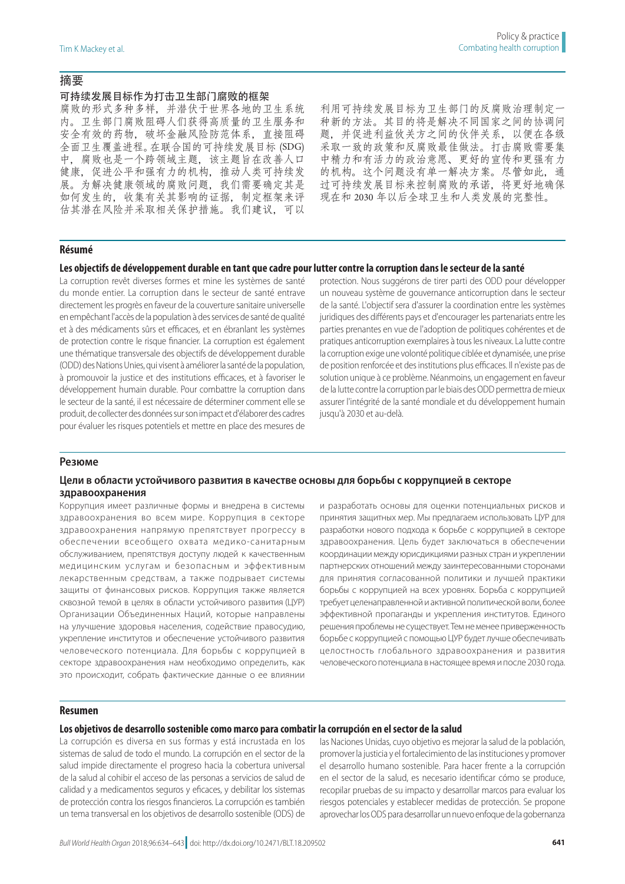### 摘要

### 可持续发展目标作为打击卫生部门腐败的框架

腐败的形式多种多样,并潜伏于世界各地的卫生系统 内。卫生部门腐败阻碍人们获得高质量的卫生服务和 安全有效的药物,破坏金融风险防范体系,直接阻碍 全面卫生覆盖进程。在联合国的可持续发展目标 (SDG) 中,腐败也是一个跨领域主题,该主题旨在改善人口 健康,促进公平和强有力的机构,推动人类可持续发 展。为解决健康领域的腐败问题,我们需要确定其是 如何发生的,收集有关其影响的证据,制定框架来评 估其潜在风险并采取相关保护措施。我们建议,可以

利用可持续发展目标为卫生部门的反腐败治理制定一 种新的方法。其目的将是解决不同国家之间的协调问 题,并促进利益攸关方之间的伙伴关系,以便在各级 采取一致的政策和反腐败最佳做法。打击腐败需要集 中精力和有活力的政治意愿、更好的宣传和更强有力 的机构。这个问题没有单一解决方案。尽管如此,通 过可持续发展目标来控制腐败的承诺,将更好地确保 现在和 2030 年以后全球卫生和人类发展的完整性。

#### **Résumé**

#### **Les objectifs de développement durable en tant que cadre pour lutter contre la corruption dans le secteur de la santé**

La corruption revêt diverses formes et mine les systèmes de santé du monde entier. La corruption dans le secteur de santé entrave directement les progrès en faveur de la couverture sanitaire universelle en empêchant l'accès de la population à des services de santé de qualité et à des médicaments sûrs et efficaces, et en ébranlant les systèmes de protection contre le risque financier. La corruption est également une thématique transversale des objectifs de développement durable (ODD) des Nations Unies, qui visent à améliorer la santé de la population, à promouvoir la justice et des institutions efficaces, et à favoriser le développement humain durable. Pour combattre la corruption dans le secteur de la santé, il est nécessaire de déterminer comment elle se produit, de collecter des données sur son impact et d'élaborer des cadres pour évaluer les risques potentiels et mettre en place des mesures de

protection. Nous suggérons de tirer parti des ODD pour développer un nouveau système de gouvernance anticorruption dans le secteur de la santé. L'objectif sera d'assurer la coordination entre les systèmes juridiques des différents pays et d'encourager les partenariats entre les parties prenantes en vue de l'adoption de politiques cohérentes et de pratiques anticorruption exemplaires à tous les niveaux. La lutte contre la corruption exige une volonté politique ciblée et dynamisée, une prise de position renforcée et des institutions plus efficaces. Il n'existe pas de solution unique à ce problème. Néanmoins, un engagement en faveur de la lutte contre la corruption par le biais des ODD permettra de mieux assurer l'intégrité de la santé mondiale et du développement humain jusqu'à 2030 et au-delà.

#### **Резюме**

#### **Цели в области устойчивого развития в качестве основы для борьбы с коррупцией в секторе здравоохранения**

Коррупция имеет различные формы и внедрена в системы здравоохранения во всем мире. Коррупция в секторе здравоохранения напрямую препятствует прогрессу в обеспечении всеобщего охвата медико-санитарным обслуживанием, препятствуя доступу людей к качественным медицинским услугам и безопасным и эффективным лекарственным средствам, а также подрывает системы защиты от финансовых рисков. Коррупция также является сквозной темой в целях в области устойчивого развития (ЦУР) Организации Объединенных Наций, которые направлены на улучшение здоровья населения, содействие правосудию, укрепление институтов и обеспечение устойчивого развития человеческого потенциала. Для борьбы с коррупцией в секторе здравоохранения нам необходимо определить, как это происходит, собрать фактические данные о ее влиянии

и разработать основы для оценки потенциальных рисков и принятия защитных мер. Мы предлагаем использовать ЦУР для разработки нового подхода к борьбе с коррупцией в секторе здравоохранения. Цель будет заключаться в обеспечении координации между юрисдикциями разных стран и укреплении партнерских отношений между заинтересованными сторонами для принятия согласованной политики и лучшей практики борьбы с коррупцией на всех уровнях. Борьба с коррупцией требует целенаправленной и активной политической воли, более эффективной пропаганды и укрепления институтов. Единого решения проблемы не существует. Тем не менее приверженность борьбе с коррупцией с помощью ЦУР будет лучше обеспечивать целостность глобального здравоохранения и развития человеческого потенциала в настоящее время и после 2030 года.

#### **Resumen**

#### **Los objetivos de desarrollo sostenible como marco para combatir la corrupción en el sector de la salud**

La corrupción es diversa en sus formas y está incrustada en los sistemas de salud de todo el mundo. La corrupción en el sector de la salud impide directamente el progreso hacia la cobertura universal de la salud al cohibir el acceso de las personas a servicios de salud de calidad y a medicamentos seguros y eficaces, y debilitar los sistemas de protección contra los riesgos financieros. La corrupción es también un tema transversal en los objetivos de desarrollo sostenible (ODS) de

las Naciones Unidas, cuyo objetivo es mejorar la salud de la población, promover la justicia y el fortalecimiento de las instituciones y promover el desarrollo humano sostenible. Para hacer frente a la corrupción en el sector de la salud, es necesario identificar cómo se produce, recopilar pruebas de su impacto y desarrollar marcos para evaluar los riesgos potenciales y establecer medidas de protección. Se propone aprovechar los ODS para desarrollar un nuevo enfoque de la gobernanza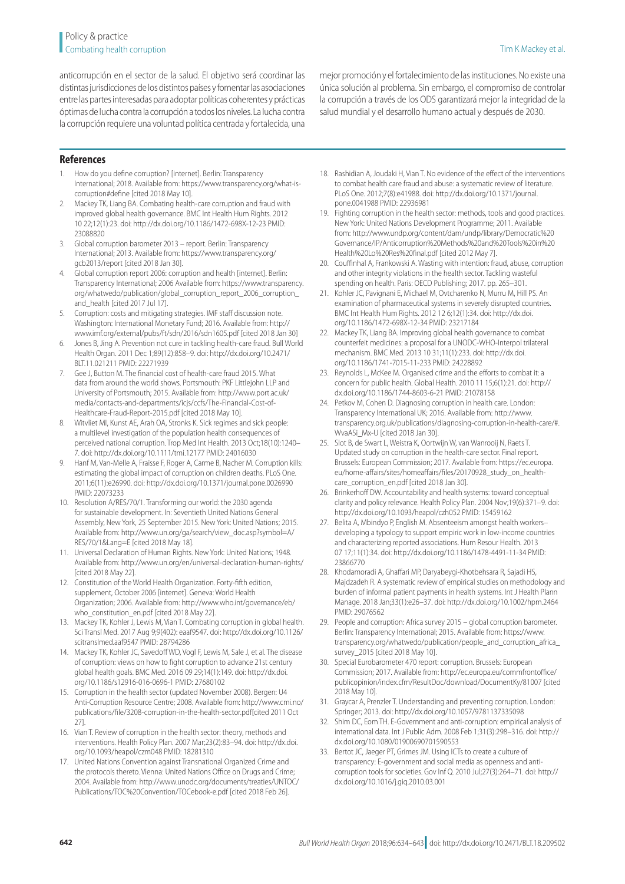anticorrupción en el sector de la salud. El objetivo será coordinar las distintas jurisdicciones de los distintos países y fomentar las asociaciones entre las partes interesadas para adoptar políticas coherentes y prácticas óptimas de lucha contra la corrupción a todos los niveles. La lucha contra la corrupción requiere una voluntad política centrada y fortalecida, una

mejor promoción y el fortalecimiento de las instituciones. No existe una única solución al problema. Sin embargo, el compromiso de controlar la corrupción a través de los ODS garantizará mejor la integridad de la salud mundial y el desarrollo humano actual y después de 2030.

#### **References**

- <span id="page-8-0"></span>1. How do you define corruption? [internet]. Berlin: Transparency International; 2018. Available from: [https://www.transparency.org/what-is](https://www.transparency.org/what-is-corruption#define)[corruption#define](https://www.transparency.org/what-is-corruption#define) [cited 2018 May 10].
- <span id="page-8-1"></span>2. Mackey TK, Liang BA. Combating health-care corruption and fraud with improved global health governance. BMC Int Health Hum Rights. 2012 10 22;12(1):23. doi:<http://dx.doi.org/10.1186/1472-698X-12-23>PMID: [23088820](http://www.ncbi.nlm.nih.gov/pubmed/23088820)
- <span id="page-8-2"></span>3. Global corruption barometer 2013 – report. Berlin: Transparency International; 2013. Available from: [https://www.transparency.org/](https://www.transparency.org/gcb2013/report) [gcb2013/report](https://www.transparency.org/gcb2013/report) [\[](http://)cited 2018 Jan 30].
- <span id="page-8-3"></span>4. Global corruption report 2006: corruption and health [internet]. Berlin: Transparency International; 2006 Available from: [https://www.transparency.](https://www.transparency.org/whatwedo/publication/global_corruption_report_2006_corruption_and_health) [org/whatwedo/publication/global\\_corruption\\_report\\_2006\\_corruption\\_](https://www.transparency.org/whatwedo/publication/global_corruption_report_2006_corruption_and_health) [and\\_health](https://www.transparency.org/whatwedo/publication/global_corruption_report_2006_corruption_and_health) [cited 2017 Jul 17].
- <span id="page-8-4"></span>5. Corruption: costs and mitigating strategies. IMF staff discussion note. Washington: International Monetary Fund; 2016. Available from: [http://](http://www.imf.org/external/pubs/ft/sdn/2016/sdn1605.pdf) [www.imf.org/external/pubs/ft/sdn/2016/sdn1605.pdf](http://www.imf.org/external/pubs/ft/sdn/2016/sdn1605.pdf) [\[](http://[)cited 2018 Jan 30]
- <span id="page-8-5"></span>6. Jones B, Jing A. Prevention not cure in tackling health-care fraud. Bull World Health Organ. 2011 Dec 1;89(12):858–9. doi: [http://dx.doi.org/10.2471/](http://dx.doi.org/10.2471/BLT.11.021211) [BLT.11.021211](http://dx.doi.org/10.2471/BLT.11.021211) PMID: [22271939](http://www.ncbi.nlm.nih.gov/pubmed/22271939)
- <span id="page-8-6"></span>Gee J, Button M. The financial cost of health-care fraud 2015. What data from around the world shows. Portsmouth: PKF Littlejohn LLP and University of Portsmouth; 2015. Available from: [http://www.port.ac.uk/](http://www.port.ac.uk/media/contacts-and-departments/icjs/ccfs/The-Financial-Cost-of-Healthcare-Fraud-Report-2015.pdf) [media/contacts-and-departments/icjs/ccfs/The-Financial-Cost-of-](http://www.port.ac.uk/media/contacts-and-departments/icjs/ccfs/The-Financial-Cost-of-Healthcare-Fraud-Report-2015.pdf)[Healthcare-Fraud-Report-2015.pdf](http://www.port.ac.uk/media/contacts-and-departments/icjs/ccfs/The-Financial-Cost-of-Healthcare-Fraud-Report-2015.pdf) [cited 2018 May 10].
- <span id="page-8-7"></span>8. Witvliet MI, Kunst AE, Arah OA, Stronks K. Sick regimes and sick people: a multilevel investigation of the population health consequences of perceived national corruption. Trop Med Int Health. 2013 Oct;18(10):1240– 7. doi: <http://dx.doi.org/10.1111/tmi.12177> PMID: [24016030](http://www.ncbi.nlm.nih.gov/pubmed/24016030)
- <span id="page-8-8"></span>9. Hanf M, Van-Melle A, Fraisse F, Roger A, Carme B, Nacher M. Corruption kills: estimating the global impact of corruption on children deaths. PLoS One. 2011;6(11):e26990. doi: <http://dx.doi.org/10.1371/journal.pone.0026990> PMID: [22073233](http://www.ncbi.nlm.nih.gov/pubmed/22073233)
- <span id="page-8-9"></span>10. Resolution A/RES/70/1. Transforming our world: the 2030 agenda for sustainable development. In: Seventieth United Nations General Assembly, New York, 25 September 2015. New York: United Nations; 2015. Available from: [http://www.un.org/ga/search/view\\_doc.asp?symbol=A/](http://www.un.org/ga/search/view_doc.asp?symbol=A/RES/70/1&Lang=E) [RES/70/1&Lang=E](http://www.un.org/ga/search/view_doc.asp?symbol=A/RES/70/1&Lang=E) [cited 2018 May 18].
- <span id="page-8-10"></span>11. Universal Declaration of Human Rights. New York: United Nations; 1948. Available from: <http://www.un.org/en/universal-declaration-human-rights/> [cited 2018 May 22].
- <span id="page-8-11"></span>12. Constitution of the World Health Organization. Forty-fifth edition, supplement, October 2006 [internet]. Geneva: World Health Organization; 2006. Available from: [http://www.who.int/governance/eb/](http://www.who.int/governance/eb/who_constitution_en.pdf) [who\\_constitution\\_en.pdf](http://www.who.int/governance/eb/who_constitution_en.pdf) [cited 2018 May 22].
- <span id="page-8-12"></span>13. Mackey TK, Kohler J, Lewis M, Vian T. Combating corruption in global health. Sci Transl Med. 2017 Aug 9;9(402): eaaf9547. doi: [http://dx.doi.org/10.1126/](http://dx.doi.org/10.1126/scitranslmed.aaf9547) [scitranslmed.aaf9547](http://dx.doi.org/10.1126/scitranslmed.aaf9547) PMID: [28794286](http://www.ncbi.nlm.nih.gov/pubmed/28794286)
- <span id="page-8-13"></span>14. Mackey TK, Kohler JC, Savedoff WD, Vogl F, Lewis M, Sale J, et al. The disease of corruption: views on how to fight corruption to advance 21st century global health goals. BMC Med. 2016 09 29;14(1):149. doi: [http://dx.doi.](http://dx.doi.org/10.1186/s12916-016-0696-1) [org/10.1186/s12916-016-0696-1](http://dx.doi.org/10.1186/s12916-016-0696-1) PMID: [27680102](http://www.ncbi.nlm.nih.gov/pubmed/27680102)
- <span id="page-8-31"></span>15. Corruption in the health sector (updated November 2008). Bergen: U4 Anti-Corruption Resource Centre; 2008. Available from: [http://www.cmi.no/](http://www.cmi.no/publications/file/3208-corruption-in-the-health-sector.pdf) [publications/file/3208-corruption-in-the-health-sector.pdf\[](http://www.cmi.no/publications/file/3208-corruption-in-the-health-sector.pdf)cited 2011 Oct 27].
- <span id="page-8-14"></span>16. Vian T. Review of corruption in the health sector: theory, methods and interventions. Health Policy Plan. 2007 Mar;23(2):83–94. doi: [http://dx.doi.](http://dx.doi.org/10.1093/heapol/czm048) [org/10.1093/heapol/czm048](http://dx.doi.org/10.1093/heapol/czm048) PMID: [18281310](http://www.ncbi.nlm.nih.gov/pubmed/18281310)
- <span id="page-8-15"></span>17. United Nations Convention against Transnational Organized Crime and the protocols thereto. Vienna: United Nations Office on Drugs and Crime; 2004. Available from: [http://www.unodc.org/documents/treaties/UNTOC/](http://www.unodc.org/documents/treaties/UNTOC/Publications/TOC%20Convention/TOCebook-e.pdf) [Publications/TOC%20Convention/TOCebook-e.pdf](http://www.unodc.org/documents/treaties/UNTOC/Publications/TOC%20Convention/TOCebook-e.pdf) [\[](http://)cited 2018 Feb 26].
- <span id="page-8-16"></span>18. Rashidian A, Joudaki H, Vian T. No evidence of the effect of the interventions to combat health care fraud and abuse: a systematic review of literature. PLoS One. 2012;7(8):e41988. doi: [http://dx.doi.org/10.1371/journal.](http://dx.doi.org/10.1371/journal.pone.0041988) [pone.0041988](http://dx.doi.org/10.1371/journal.pone.0041988) PMID: [22936981](http://www.ncbi.nlm.nih.gov/pubmed/22936981)
- <span id="page-8-17"></span>19. Fighting corruption in the health sector: methods, tools and good practices. New York: United Nations Development Programme; 2011. Available from: http://www.undp.org/content/dam/undp/library/Democratic%20 Governance/IP/Anticorruption%20Methods%20and%20Tools%20in%20 Health%20Lo%20Res%20final.pdf [cited 2012 May 7].
- <span id="page-8-21"></span>20. Couffinhal A, Frankowski A. Wasting with intention: fraud, abuse, corruption and other integrity violations in the health sector. Tackling wasteful spending on health. Paris: OECD Publishing; 2017. pp. 265–301.
- <span id="page-8-18"></span>21. Kohler JC, Pavignani E, Michael M, Ovtcharenko N, Murru M, Hill PS. An examination of pharmaceutical systems in severely disrupted countries. BMC Int Health Hum Rights. 2012 12 6;12(1):34. doi: [http://dx.doi.](http://dx.doi.org/10.1186/1472-698X-12-34) [org/10.1186/1472-698X-12-34](http://dx.doi.org/10.1186/1472-698X-12-34) PMID: [23217184](http://www.ncbi.nlm.nih.gov/pubmed/23217184)
- <span id="page-8-19"></span>22. Mackey TK, Liang BA. Improving global health governance to combat counterfeit medicines: a proposal for a UNODC-WHO-Interpol trilateral mechanism. BMC Med. 2013 10 31;11(1):233. doi: [http://dx.doi.](http://dx.doi.org/10.1186/1741-7015-11-233) [org/10.1186/1741-7015-11-233](http://dx.doi.org/10.1186/1741-7015-11-233) PMID: [24228892](http://www.ncbi.nlm.nih.gov/pubmed/24228892)
- <span id="page-8-20"></span>23. Reynolds L, McKee M. Organised crime and the efforts to combat it: a concern for public health. Global Health. 2010 11 15;6(1):21. doi: [http://](http://dx.doi.org/10.1186/1744-8603-6-21) [dx.doi.org/10.1186/1744-8603-6-21](http://dx.doi.org/10.1186/1744-8603-6-21) PMID: [21078158](http://www.ncbi.nlm.nih.gov/pubmed/21078158)
- <span id="page-8-30"></span>24. Petkov M, Cohen D. Diagnosing corruption in health care. London: Transparency International UK; 2016. Available from: [http://www.](http://www.transparency.org.uk/publications/diagnosing-corruption-in-health-care/#.WvaASi_Mx-U) [transparency.org.uk/publications/diagnosing-corruption-in-health-care/#.](http://www.transparency.org.uk/publications/diagnosing-corruption-in-health-care/#.WvaASi_Mx-U) [WvaASi\\_Mx-U](http://www.transparency.org.uk/publications/diagnosing-corruption-in-health-care/#.WvaASi_Mx-U) [cited 2018 Jan 30].
- <span id="page-8-22"></span>25. Slot B, de Swart L, Weistra K, Oortwijn W, van Wanrooij N, Raets T. Updated study on corruption in the health-care sector. Final report. Brussels: European Commission; 2017. Available from: [https://ec.europa.](https://ec.europa.eu/home-affairs/sites/homeaffairs/files/20170928_study_on_health-care_corruption_en.pdf) [eu/home-affairs/sites/homeaffairs/files/20170928\\_study\\_on\\_health](https://ec.europa.eu/home-affairs/sites/homeaffairs/files/20170928_study_on_health-care_corruption_en.pdf)[care\\_corruption\\_en.pdf](https://ec.europa.eu/home-affairs/sites/homeaffairs/files/20170928_study_on_health-care_corruption_en.pdf) [cited 2018 Jan 30].
- <span id="page-8-23"></span>26. Brinkerhoff DW. Accountability and health systems: toward conceptual clarity and policy relevance. Health Policy Plan. 2004 Nov;19(6):371–9. doi: <http://dx.doi.org/10.1093/heapol/czh052>PMID: [15459162](http://www.ncbi.nlm.nih.gov/pubmed/15459162)
- <span id="page-8-24"></span>27. Belita A, Mbindyo P, English M. Absenteeism amongst health workers– developing a typology to support empiric work in low-income countries and characterizing reported associations. Hum Resour Health. 2013 07 17;11(1):34. doi:<http://dx.doi.org/10.1186/1478-4491-11-34> PMID: [23866770](http://www.ncbi.nlm.nih.gov/pubmed/23866770)
- <span id="page-8-25"></span>28. Khodamoradi A, Ghaffari MP, Daryabeygi-Khotbehsara R, Sajadi HS, Majdzadeh R. A systematic review of empirical studies on methodology and burden of informal patient payments in health systems. Int J Health Plann Manage. 2018 Jan;33(1):e26–37. doi:<http://dx.doi.org/10.1002/hpm.2464> PMID: [29076562](http://www.ncbi.nlm.nih.gov/pubmed/29076562)
- <span id="page-8-26"></span>29. People and corruption: Africa survey 2015 – global corruption barometer. Berlin: Transparency International; 2015. Available from: [https://www.](https://www.transparency.org/whatwedo/publication/people_and_corruption_africa_survey_2015) [transparency.org/whatwedo/publication/people\\_and\\_corruption\\_africa\\_](https://www.transparency.org/whatwedo/publication/people_and_corruption_africa_survey_2015) [survey\\_2015](https://www.transparency.org/whatwedo/publication/people_and_corruption_africa_survey_2015) [\[](http://)cited 2018 May 10].
- <span id="page-8-27"></span>30. Special Eurobarometer 470 report: corruption. Brussels: European Commission; 2017. Available from: [http://ec.europa.eu/commfrontoffice/](http://ec.europa.eu/commfrontoffice/publicopinion/index.cfm/ResultDoc/download/DocumentKy/81007) [publicopinion/index.cfm/ResultDoc/download/DocumentKy/81007](http://ec.europa.eu/commfrontoffice/publicopinion/index.cfm/ResultDoc/download/DocumentKy/81007) [\[](http://)cited 2018 May 10].
- <span id="page-8-28"></span>31. Graycar A, Prenzler T. Understanding and preventing corruption. London: Springer; 2013. doi:<http://dx.doi.org/10.1057/9781137335098>
- <span id="page-8-29"></span>32. Shim DC, Eom TH. E-Government and anti-corruption: empirical analysis of international data. Int J Public Adm. 2008 Feb 1;31(3):298–316. doi: [http://](http://dx.doi.org/10.1080/01900690701590553) [dx.doi.org/10.1080/01900690701590553](http://dx.doi.org/10.1080/01900690701590553)
- 33. Bertot JC, Jaeger PT, Grimes JM. Using ICTs to create a culture of transparency: E-government and social media as openness and anticorruption tools for societies. Gov Inf Q. 2010 Jul;27(3):264–71. doi: [http://](http://dx.doi.org/10.1016/j.giq.2010.03.001) [dx.doi.org/10.1016/j.giq.2010.03.001](http://dx.doi.org/10.1016/j.giq.2010.03.001)